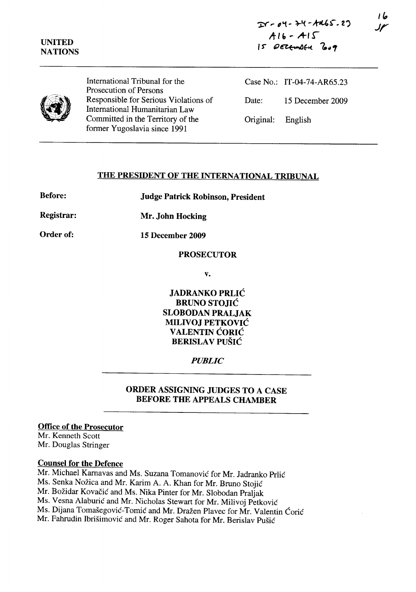

International Tribunal for the Prosecution of Persons Responsible for Serious Violations of International Humanitarian Law Committed in the Territory of the former Yugoslavia since 1991

Case No.: IT-04-74-AR65.23 Date: 15 December 2009 Original: English

# **THE PRESIDENT OF THE INTERNATIONAL TRIBUNAL**

**Before: Judge Patrick Robinson, President** 

**Registrar: Mr. John Hocking** 

**Order of: 15 December 2009** 

#### **PROSECUTOR**

**v.** 

**JADRANKO PRLIC BRUNO STOJIC SLOBODAN PRALJAK MILIVOJ PETKOVIC V ALENTIN CORIC BERISLA V PUSIC** 

# *PUBLIC*

# **ORDER ASSIGNING JUDGES TO A CASE BEFORE THE APPEALS CHAMBER**

#### **Office of the Prosecutor**

Mr. Kenneth Scott Mr. Douglas Stringer

#### **Counsel for the Defence**

Mr. Michael Karnavas and Ms. Suzana Tomanović for Mr. Jadranko Prlić Ms. Senka Nožica and Mr. Karim A. A. Khan for Mr. Bruno Stojić Mr. Božidar Kovačić and Ms. Nika Pinter for Mr. Slobodan Praljak Ms. Vesna Alaburić and Mr. Nicholas Stewart for Mr. Milivoj Petković Ms. Dijana Tomašegović-Tomić and Mr. Dražen Plavec for Mr. Valentin Ćorić Mr. Fahrudin Ibrišimović and Mr. Roger Sahota for Mr. Berislav Pušić